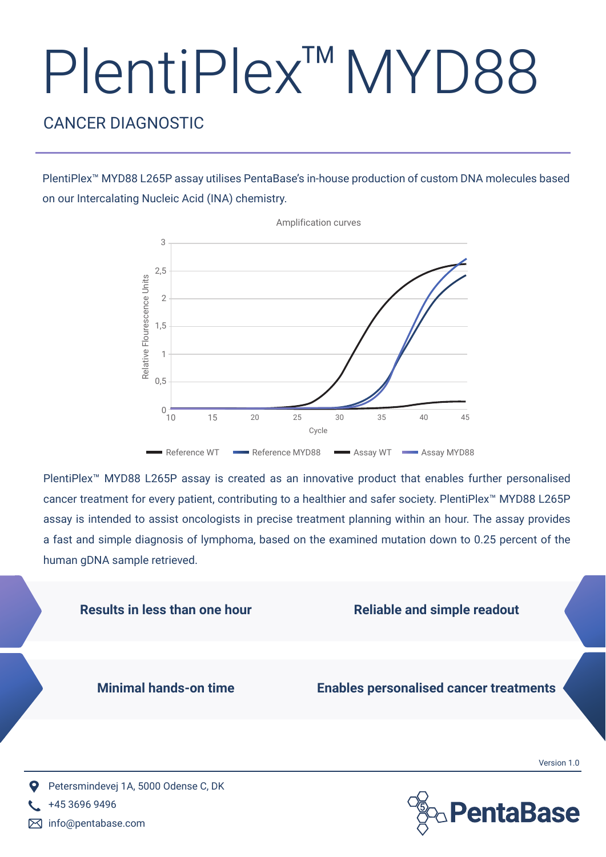## PlentiPlex™ MYD88

## CANCER DIAGNOSTIC

PlentiPlex™ MYD88 L265P assay utilises PentaBase's in-house production of custom DNA molecules based on our Intercalating Nucleic Acid (INA) chemistry.



PlentiPlex™ MYD88 L265P assay is created as an innovative product that enables further personalised cancer treatment for every patient, contributing to a healthier and safer society. PlentiPlex™ MYD88 L265P assay is intended to assist oncologists in precise treatment planning within an hour. The assay provides a fast and simple diagnosis of lymphoma, based on the examined mutation down to 0.25 percent of the human gDNA sample retrieved.



info@pentabase.com